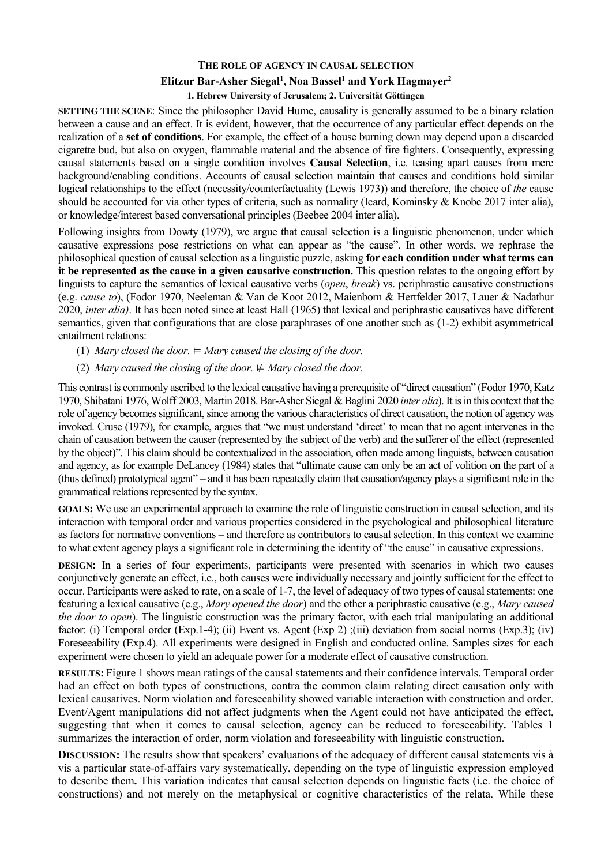## **THE ROLE OF AGENCY IN CAUSAL SELECTION**

## **Elitzur Bar-Asher Siegal1 , Noa Bassel1 and York Hagmayer2**

## **1. Hebrew University of Jerusalem; 2. Universität Göttingen**

**SETTING THE SCENE:** Since the philosopher David Hume, causality is generally assumed to be a binary relation between a cause and an effect. It is evident, however, that the occurrence of any particular effect depends on the realization of a **set of conditions**. For example, the effect of a house burning down may depend upon a discarded cigarette bud, but also on oxygen, flammable material and the absence of fire fighters. Consequently, expressing causal statements based on a single condition involves **Causal Selection**, i.e. teasing apart causes from mere background/enabling conditions. Accounts of causal selection maintain that causes and conditions hold similar logical relationships to the effect (necessity/counterfactuality (Lewis 1973)) and therefore, the choice of *the* cause should be accounted for via other types of criteria, such as normality (Icard, Kominsky & Knobe 2017 inter alia), or knowledge/interest based conversational principles (Beebee 2004 inter alia).

Following insights from Dowty (1979), we argue that causal selection is a linguistic phenomenon, under which causative expressions pose restrictions on what can appear as "the cause". In other words, we rephrase the philosophical question of causal selection as a linguistic puzzle, asking **for each condition under what terms can it be represented as the cause in a given causative construction.** This question relates to the ongoing effort by linguists to capture the semantics of lexical causative verbs (*open*, *break*) vs. periphrastic causative constructions (e.g. *cause to*), (Fodor 1970, Neeleman & Van de Koot 2012, Maienborn & Hertfelder 2017, Lauer & Nadathur 2020, *inter alia)*. It has been noted since at least Hall (1965) that lexical and periphrastic causatives have different semantics, given that configurations that are close paraphrases of one another such as (1-2) exhibit asymmetrical entailment relations:

- (1) *Mary closed the door.*  $\vDash$  *Mary caused the closing of the door.*
- (2) *Mary caused the closing of the door.*  $#$  *Mary closed the door.*

This contrast is commonly ascribed to the lexical causative having a prerequisite of "direct causation" (Fodor 1970, Katz 1970, Shibatani 1976, Wolff 2003, Martin 2018. Bar-Asher Siegal & Baglini 2020 *inter alia*). It is in this context that the role of agency becomes significant, since among the various characteristics of direct causation, the notion of agency was invoked. Cruse (1979), for example, argues that "we must understand 'direct' to mean that no agent intervenes in the chain of causation between the causer (represented by the subject of the verb) and the sufferer of the effect (represented by the object)". This claim should be contextualized in the association, often made among linguists, between causation and agency, as for example DeLancey (1984) states that "ultimate cause can only be an act of volition on the part of a (thus defined) prototypical agent" – and it has been repeatedly claim that causation/agency plays a significant role in the grammatical relations represented by the syntax.

**GOALS:** We use an experimental approach to examine the role of linguistic construction in causal selection, and its interaction with temporal order and various properties considered in the psychological and philosophical literature as factors for normative conventions – and therefore as contributors to causal selection. In this context we examine to what extent agency plays a significant role in determining the identity of "the cause" in causative expressions.

**DESIGN:** In a series of four experiments, participants were presented with scenarios in which two causes conjunctively generate an effect, i.e., both causes were individually necessary and jointly sufficient for the effect to occur. Participants were asked to rate, on a scale of 1-7, the level of adequacy of two types of causal statements: one featuring a lexical causative (e.g., *Mary opened the door*) and the other a periphrastic causative (e.g., *Mary caused the door to open*). The linguistic construction was the primary factor, with each trial manipulating an additional factor: (i) Temporal order (Exp.1-4); (ii) Event vs. Agent (Exp 2) ;(iii) deviation from social norms (Exp.3); (iv) Foreseeability (Exp.4). All experiments were designed in English and conducted online. Samples sizes for each experiment were chosen to yield an adequate power for a moderate effect of causative construction.

**RESULTS:** Figure 1 shows mean ratings of the causal statements and their confidence intervals. Temporal order had an effect on both types of constructions, contra the common claim relating direct causation only with lexical causatives. Norm violation and foreseeability showed variable interaction with construction and order. Event/Agent manipulations did not affect judgments when the Agent could not have anticipated the effect, suggesting that when it comes to causal selection, agency can be reduced to foreseeability**.** Tables 1 summarizes the interaction of order, norm violation and foreseeability with linguistic construction.

**DISCUSSION:** The results show that speakers' evaluations of the adequacy of different causal statements vis à vis a particular state-of-affairs vary systematically, depending on the type of linguistic expression employed to describe them**.** This variation indicates that causal selection depends on linguistic facts (i.e. the choice of constructions) and not merely on the metaphysical or cognitive characteristics of the relata. While these